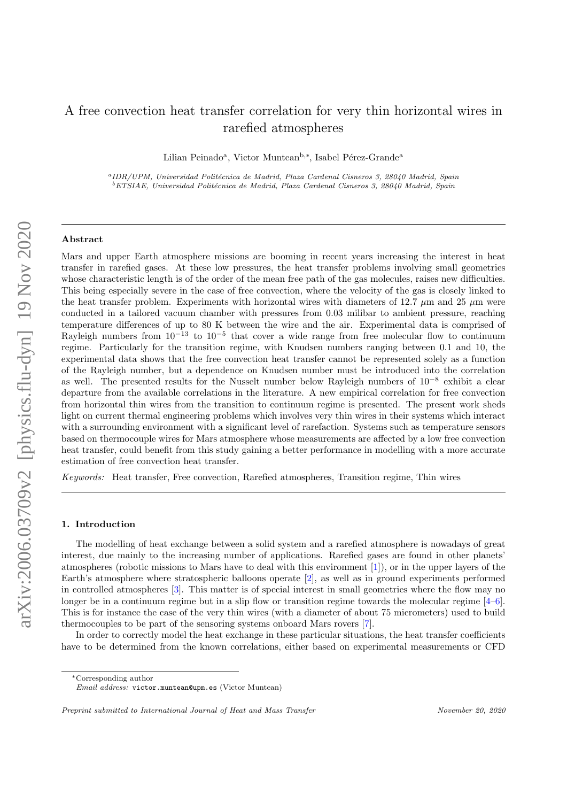# A free convection heat transfer correlation for very thin horizontal wires in rarefied atmospheres

Lilian Peinado<sup>a</sup>, Victor Muntean<sup>b,\*</sup>, Isabel Pérez-Grande<sup>a</sup>

<sup>a</sup>IDR/UPM, Universidad Politécnica de Madrid, Plaza Cardenal Cisneros 3, 28040 Madrid, Spain  ${}^{b}ETSIAE,$  Universidad Politécnica de Madrid, Plaza Cardenal Cisneros 3, 28040 Madrid, Spain

## Abstract

Mars and upper Earth atmosphere missions are booming in recent years increasing the interest in heat transfer in rarefied gases. At these low pressures, the heat transfer problems involving small geometries whose characteristic length is of the order of the mean free path of the gas molecules, raises new difficulties. This being especially severe in the case of free convection, where the velocity of the gas is closely linked to the heat transfer problem. Experiments with horizontal wires with diameters of 12.7  $\mu$ m and 25  $\mu$ m were conducted in a tailored vacuum chamber with pressures from 0.03 milibar to ambient pressure, reaching temperature differences of up to 80 K between the wire and the air. Experimental data is comprised of Rayleigh numbers from  $10^{-13}$  to  $10^{-5}$  that cover a wide range from free molecular flow to continuum regime. Particularly for the transition regime, with Knudsen numbers ranging between 0.1 and 10, the experimental data shows that the free convection heat transfer cannot be represented solely as a function of the Rayleigh number, but a dependence on Knudsen number must be introduced into the correlation as well. The presented results for the Nusselt number below Rayleigh numbers of 10<sup>−</sup><sup>8</sup> exhibit a clear departure from the available correlations in the literature. A new empirical correlation for free convection from horizontal thin wires from the transition to continuum regime is presented. The present work sheds light on current thermal engineering problems which involves very thin wires in their systems which interact with a surrounding environment with a significant level of rarefaction. Systems such as temperature sensors based on thermocouple wires for Mars atmosphere whose measurements are affected by a low free convection heat transfer, could benefit from this study gaining a better performance in modelling with a more accurate estimation of free convection heat transfer.

Keywords: Heat transfer, Free convection, Rarefied atmospheres, Transition regime, Thin wires

# 1. Introduction

The modelling of heat exchange between a solid system and a rarefied atmosphere is nowadays of great interest, due mainly to the increasing number of applications. Rarefied gases are found in other planets' atmospheres (robotic missions to Mars have to deal with this environment [\[1\]](#page-13-0)), or in the upper layers of the Earth's atmosphere where stratospheric balloons operate [\[2\]](#page-13-1), as well as in ground experiments performed in controlled atmospheres [\[3\]](#page-13-2). This matter is of special interest in small geometries where the flow may no longer be in a continuum regime but in a slip flow or transition regime towards the molecular regime [\[4–](#page-13-3)[6\]](#page-13-4). This is for instance the case of the very thin wires (with a diameter of about 75 micrometers) used to build thermocouples to be part of the sensoring systems onboard Mars rovers [\[7\]](#page-13-5).

In order to correctly model the heat exchange in these particular situations, the heat transfer coefficients have to be determined from the known correlations, either based on experimental measurements or CFD

<sup>∗</sup>Corresponding author

Email address: victor.muntean@upm.es (Victor Muntean)

Preprint submitted to International Journal of Heat and Mass Transfer November 20, 2020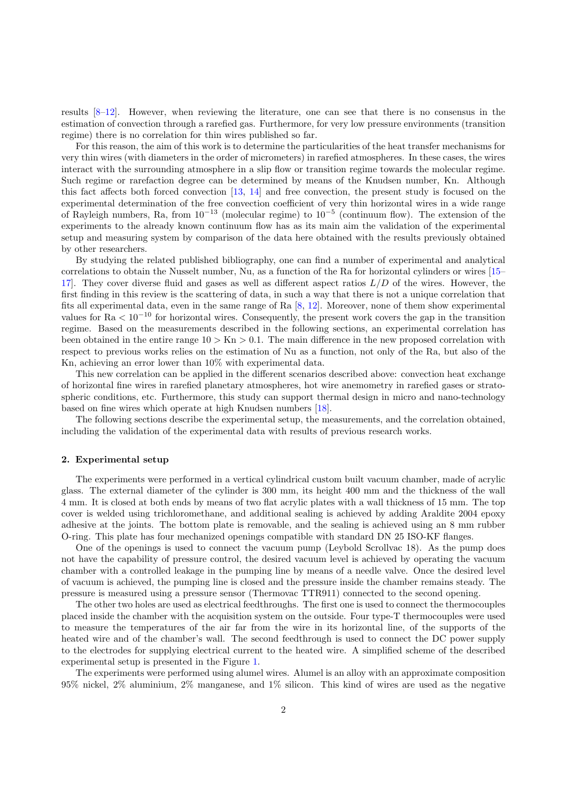results [\[8–](#page-13-6)[12\]](#page-13-7). However, when reviewing the literature, one can see that there is no consensus in the estimation of convection through a rarefied gas. Furthermore, for very low pressure environments (transition regime) there is no correlation for thin wires published so far.

For this reason, the aim of this work is to determine the particularities of the heat transfer mechanisms for very thin wires (with diameters in the order of micrometers) in rarefied atmospheres. In these cases, the wires interact with the surrounding atmosphere in a slip flow or transition regime towards the molecular regime. Such regime or rarefaction degree can be determined by means of the Knudsen number, Kn. Although this fact affects both forced convection [\[13,](#page-13-8) [14\]](#page-13-9) and free convection, the present study is focused on the experimental determination of the free convection coefficient of very thin horizontal wires in a wide range of Rayleigh numbers, Ra, from  $10^{-13}$  (molecular regime) to  $10^{-5}$  (continuum flow). The extension of the experiments to the already known continuum flow has as its main aim the validation of the experimental setup and measuring system by comparison of the data here obtained with the results previously obtained by other researchers.

By studying the related published bibliography, one can find a number of experimental and analytical correlations to obtain the Nusselt number, Nu, as a function of the Ra for horizontal cylinders or wires [\[15–](#page-13-10) 17. They cover diverse fluid and gases as well as different aspect ratios  $L/D$  of the wires. However, the first finding in this review is the scattering of data, in such a way that there is not a unique correlation that fits all experimental data, even in the same range of Ra [\[8,](#page-13-6) [12\]](#page-13-7). Moreover, none of them show experimental values for  $Ra < 10^{-10}$  for horizontal wires. Consequently, the present work covers the gap in the transition regime. Based on the measurements described in the following sections, an experimental correlation has been obtained in the entire range  $10 > Kn > 0.1$ . The main difference in the new proposed correlation with respect to previous works relies on the estimation of Nu as a function, not only of the Ra, but also of the Kn, achieving an error lower than 10% with experimental data.

This new correlation can be applied in the different scenarios described above: convection heat exchange of horizontal fine wires in rarefied planetary atmospheres, hot wire anemometry in rarefied gases or stratospheric conditions, etc. Furthermore, this study can support thermal design in micro and nano-technology based on fine wires which operate at high Knudsen numbers [\[18\]](#page-13-12).

The following sections describe the experimental setup, the measurements, and the correlation obtained, including the validation of the experimental data with results of previous research works.

#### 2. Experimental setup

The experiments were performed in a vertical cylindrical custom built vacuum chamber, made of acrylic glass. The external diameter of the cylinder is 300 mm, its height 400 mm and the thickness of the wall 4 mm. It is closed at both ends by means of two flat acrylic plates with a wall thickness of 15 mm. The top cover is welded using trichloromethane, and additional sealing is achieved by adding Araldite 2004 epoxy adhesive at the joints. The bottom plate is removable, and the sealing is achieved using an 8 mm rubber O-ring. This plate has four mechanized openings compatible with standard DN 25 ISO-KF flanges.

One of the openings is used to connect the vacuum pump (Leybold Scrollvac 18). As the pump does not have the capability of pressure control, the desired vacuum level is achieved by operating the vacuum chamber with a controlled leakage in the pumping line by means of a needle valve. Once the desired level of vacuum is achieved, the pumping line is closed and the pressure inside the chamber remains steady. The pressure is measured using a pressure sensor (Thermovac TTR911) connected to the second opening.

The other two holes are used as electrical feedthroughs. The first one is used to connect the thermocouples placed inside the chamber with the acquisition system on the outside. Four type-T thermocouples were used to measure the temperatures of the air far from the wire in its horizontal line, of the supports of the heated wire and of the chamber's wall. The second feedthrough is used to connect the DC power supply to the electrodes for supplying electrical current to the heated wire. A simplified scheme of the described experimental setup is presented in the Figure [1.](#page-2-0)

The experiments were performed using alumel wires. Alumel is an alloy with an approximate composition 95% nickel, 2% aluminium, 2% manganese, and 1% silicon. This kind of wires are used as the negative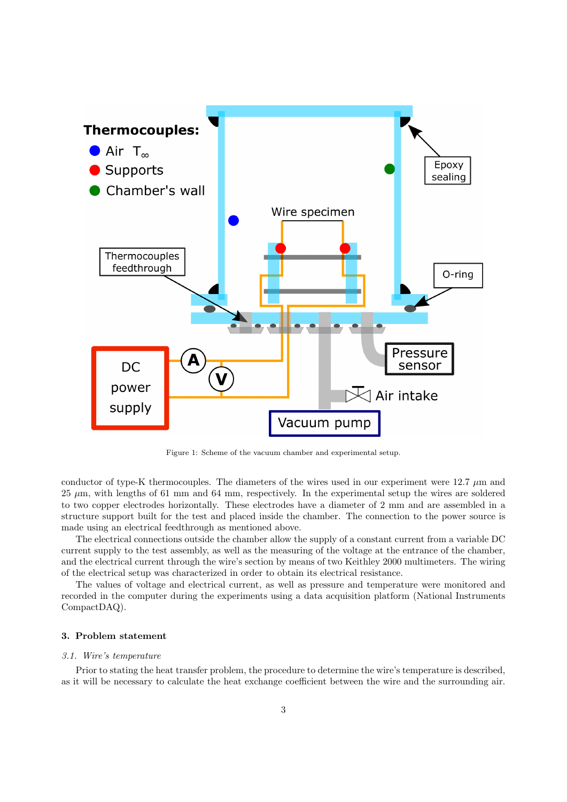

<span id="page-2-0"></span>Figure 1: Scheme of the vacuum chamber and experimental setup.

conductor of type-K thermocouples. The diameters of the wires used in our experiment were  $12.7 \mu m$  and  $25 \mu m$ , with lengths of 61 mm and 64 mm, respectively. In the experimental setup the wires are soldered to two copper electrodes horizontally. These electrodes have a diameter of 2 mm and are assembled in a structure support built for the test and placed inside the chamber. The connection to the power source is made using an electrical feedthrough as mentioned above.

The electrical connections outside the chamber allow the supply of a constant current from a variable DC current supply to the test assembly, as well as the measuring of the voltage at the entrance of the chamber, and the electrical current through the wire's section by means of two Keithley 2000 multimeters. The wiring of the electrical setup was characterized in order to obtain its electrical resistance.

The values of voltage and electrical current, as well as pressure and temperature were monitored and recorded in the computer during the experiments using a data acquisition platform (National Instruments CompactDAQ).

# <span id="page-2-1"></span>3. Problem statement

## 3.1. Wire's temperature

Prior to stating the heat transfer problem, the procedure to determine the wire's temperature is described, as it will be necessary to calculate the heat exchange coefficient between the wire and the surrounding air.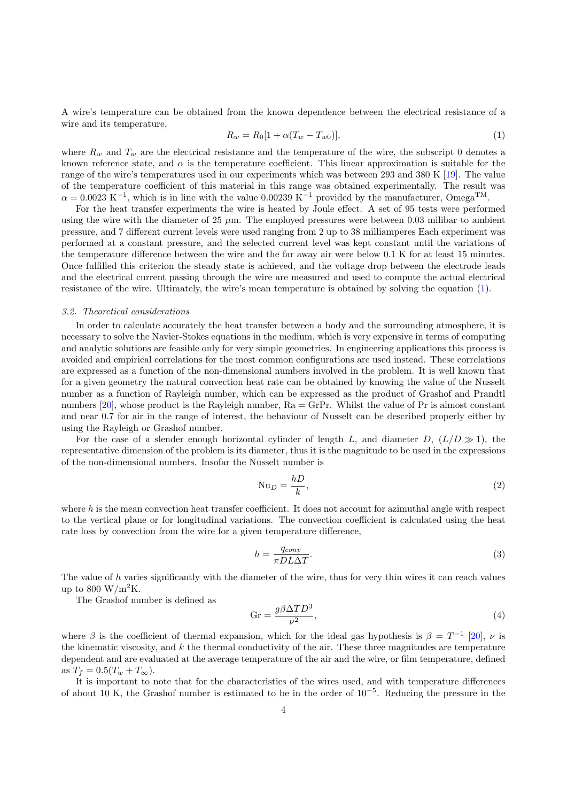A wire's temperature can be obtained from the known dependence between the electrical resistance of a wire and its temperature,

<span id="page-3-0"></span>
$$
R_w = R_0[1 + \alpha (T_w - T_{w0})],\tag{1}
$$

where  $R_w$  and  $T_w$  are the electrical resistance and the temperature of the wire, the subscript 0 denotes a known reference state, and  $\alpha$  is the temperature coefficient. This linear approximation is suitable for the range of the wire's temperatures used in our experiments which was between 293 and 380 K [\[19\]](#page-13-13). The value of the temperature coefficient of this material in this range was obtained experimentally. The result was  $\alpha = 0.0023 \text{ K}^{-1}$ , which is in line with the value 0.00239 K<sup>-1</sup> provided by the manufacturer, Omega<sup>TM</sup>.

For the heat transfer experiments the wire is heated by Joule effect. A set of 95 tests were performed using the wire with the diameter of  $25 \mu m$ . The employed pressures were between 0.03 milibar to ambient pressure, and 7 different current levels were used ranging from 2 up to 38 milliamperes Each experiment was performed at a constant pressure, and the selected current level was kept constant until the variations of the temperature difference between the wire and the far away air were below 0.1 K for at least 15 minutes. Once fulfilled this criterion the steady state is achieved, and the voltage drop between the electrode leads and the electrical current passing through the wire are measured and used to compute the actual electrical resistance of the wire. Ultimately, the wire's mean temperature is obtained by solving the equation [\(1\)](#page-3-0).

#### 3.2. Theoretical considerations

In order to calculate accurately the heat transfer between a body and the surrounding atmosphere, it is necessary to solve the Navier-Stokes equations in the medium, which is very expensive in terms of computing and analytic solutions are feasible only for very simple geometries. In engineering applications this process is avoided and empirical correlations for the most common configurations are used instead. These correlations are expressed as a function of the non-dimensional numbers involved in the problem. It is well known that for a given geometry the natural convection heat rate can be obtained by knowing the value of the Nusselt number as a function of Rayleigh number, which can be expressed as the product of Grashof and Prandtl numbers  $[20]$ , whose product is the Rayleigh number,  $Ra = GrPr$ . Whilst the value of Pr is almost constant and near 0.7 for air in the range of interest, the behaviour of Nusselt can be described properly either by using the Rayleigh or Grashof number.

For the case of a slender enough horizontal cylinder of length L, and diameter D,  $(L/D \gg 1)$ , the representative dimension of the problem is its diameter, thus it is the magnitude to be used in the expressions of the non-dimensional numbers. Insofar the Nusselt number is

<span id="page-3-3"></span>
$$
Nu_D = \frac{hD}{k},\tag{2}
$$

where  $h$  is the mean convection heat transfer coefficient. It does not account for azimuthal angle with respect to the vertical plane or for longitudinal variations. The convection coefficient is calculated using the heat rate loss by convection from the wire for a given temperature difference,

<span id="page-3-1"></span>
$$
h = \frac{q_{conv}}{\pi D L \Delta T}.
$$
\n(3)

The value of h varies significantly with the diameter of the wire, thus for very thin wires it can reach values up to 800 W/m<sup>2</sup>K.

The Grashof number is defined as

<span id="page-3-2"></span>
$$
Gr = \frac{g\beta \Delta TD^3}{\nu^2},\tag{4}
$$

where  $\beta$  is the coefficient of thermal expansion, which for the ideal gas hypothesis is  $\beta = T^{-1}$  [\[20\]](#page-13-14),  $\nu$  is the kinematic viscosity, and  $k$  the thermal conductivity of the air. These three magnitudes are temperature dependent and are evaluated at the average temperature of the air and the wire, or film temperature, defined as  $T_f = 0.5(T_w + T_{\infty}).$ 

It is important to note that for the characteristics of the wires used, and with temperature differences of about 10 K, the Grashof number is estimated to be in the order of  $10^{-5}$ . Reducing the pressure in the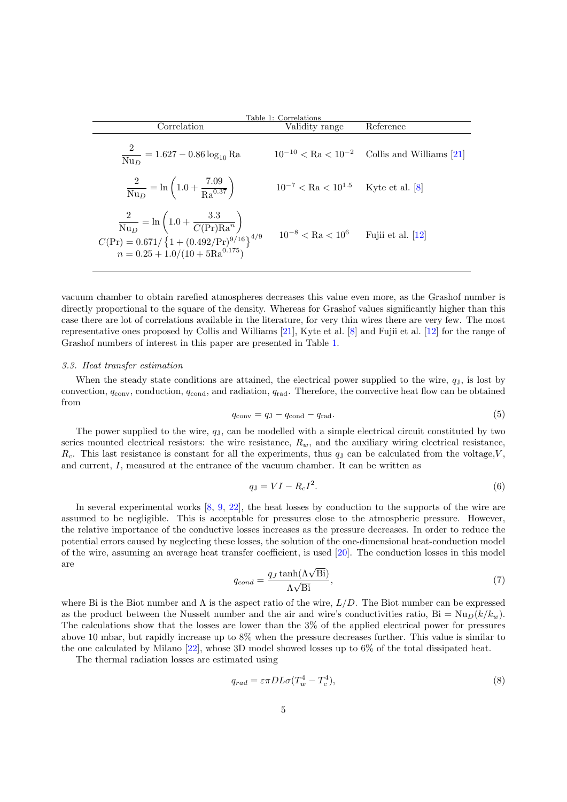<span id="page-4-0"></span>

| Table 1: Correlations                                                                                                                                                                                                                                     |                                                  |                                                           |  |
|-----------------------------------------------------------------------------------------------------------------------------------------------------------------------------------------------------------------------------------------------------------|--------------------------------------------------|-----------------------------------------------------------|--|
| Correlation                                                                                                                                                                                                                                               | Validity range                                   | Reference                                                 |  |
| $\frac{2}{Nu_D} = 1.627 - 0.86 \log_{10} Ra$                                                                                                                                                                                                              |                                                  | $10^{-10} < \text{Ra} < 10^{-2}$ Collis and Williams [21] |  |
| $\frac{2}{\text{Nu}_{\text{D}}} = \ln \left( 1.0 + \frac{7.09}{\text{Ra}^{0.37}} \right)$                                                                                                                                                                 | $10^{-7} < \text{Ra} < 10^{1.5}$ Kyte et al. [8] |                                                           |  |
| $\begin{array}{c} \frac{2}{\mathrm{Nu}_D} = \ln \left( 1.0 + \frac{3.3}{C(\mathrm{Pr}) \mathrm{Ra}^n} \right) \\ C(\mathrm{Pr}) = 0.671/\left\{ 1 + (0.492/\mathrm{Pr})^{9/16} \right\}^{4/9} \\ n = 0.25 + 1.0/(10 + 5 \mathrm{Ra}^{0.175}) \end{array}$ | $10^{-8} < \text{Ra} < 10^{6}$ Fujii et al. [12] |                                                           |  |

vacuum chamber to obtain rarefied atmospheres decreases this value even more, as the Grashof number is directly proportional to the square of the density. Whereas for Grashof values significantly higher than this case there are lot of correlations available in the literature, for very thin wires there are very few. The most representative ones proposed by Collis and Williams [\[21\]](#page-13-15), Kyte et al. [\[8\]](#page-13-6) and Fujii et al. [\[12\]](#page-13-7) for the range of Grashof numbers of interest in this paper are presented in Table [1.](#page-4-0)

### 3.3. Heat transfer estimation

<span id="page-4-1"></span>When the steady state conditions are attained, the electrical power supplied to the wire,  $q<sub>J</sub>$ , is lost by convection,  $q_{\text{conv}}$ , conduction,  $q_{\text{cond}}$ , and radiation,  $q_{\text{rad}}$ . Therefore, the convective heat flow can be obtained from

$$
q_{\text{conv}} = q_{\text{J}} - q_{\text{cond}} - q_{\text{rad}}.\tag{5}
$$

The power supplied to the wire,  $q<sub>J</sub>$ , can be modelled with a simple electrical circuit constituted by two series mounted electrical resistors: the wire resistance,  $R_w$ , and the auxiliary wiring electrical resistance,  $R_c$ . This last resistance is constant for all the experiments, thus  $q<sub>J</sub>$  can be calculated from the voltage, V, and current, I, measured at the entrance of the vacuum chamber. It can be written as

<span id="page-4-2"></span>
$$
q_{\mathbf{J}} = VI - R_c I^2. \tag{6}
$$

In several experimental works [\[8,](#page-13-6) [9,](#page-13-16) [22\]](#page-13-17), the heat losses by conduction to the supports of the wire are assumed to be negligible. This is acceptable for pressures close to the atmospheric pressure. However, the relative importance of the conductive losses increases as the pressure decreases. In order to reduce the potential errors caused by neglecting these losses, the solution of the one-dimensional heat-conduction model of the wire, assuming an average heat transfer coefficient, is used [\[20\]](#page-13-14). The conduction losses in this model are

$$
q_{cond} = \frac{q_J \tanh(\Lambda \sqrt{\text{Bi}})}{\Lambda \sqrt{\text{Bi}}},\tag{7}
$$

where Bi is the Biot number and  $\Lambda$  is the aspect ratio of the wire,  $L/D$ . The Biot number can be expressed as the product between the Nusselt number and the air and wire's conductivities ratio,  $\text{Bi} = \text{Nu}_D(k/k_m)$ . The calculations show that the losses are lower than the 3% of the applied electrical power for pressures above 10 mbar, but rapidly increase up to 8% when the pressure decreases further. This value is similar to the one calculated by Milano [\[22\]](#page-13-17), whose 3D model showed losses up to 6% of the total dissipated heat.

The thermal radiation losses are estimated using

<span id="page-4-3"></span>
$$
q_{rad} = \varepsilon \pi D L \sigma (T_w^4 - T_c^4),\tag{8}
$$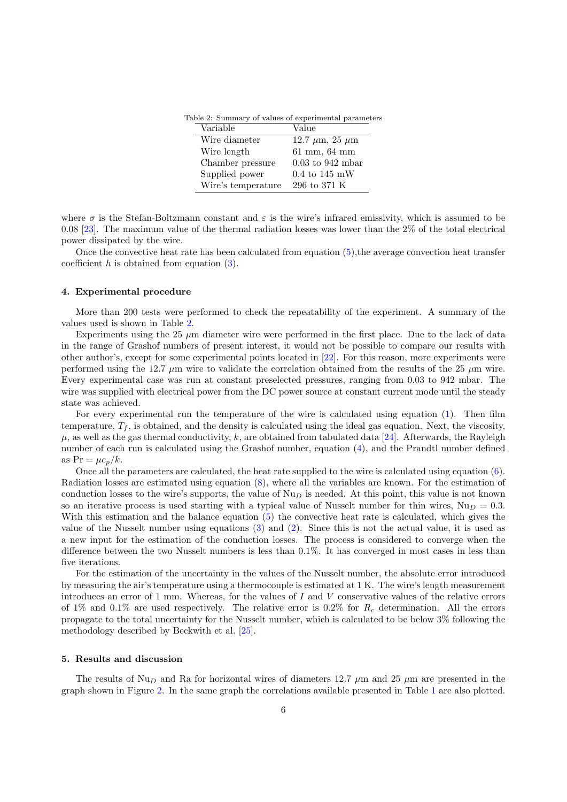<span id="page-5-0"></span>

| Table 2: Summary of values of experimental parameters |                    |                                          |  |
|-------------------------------------------------------|--------------------|------------------------------------------|--|
|                                                       | Variable           | Value                                    |  |
|                                                       | Wire diameter      | 12.7 $\mu$ m, 25 $\mu$ m                 |  |
|                                                       | Wire length        | $61 \; \mathrm{mm},\; 64 \; \mathrm{mm}$ |  |
|                                                       | Chamber pressure   | $0.03$ to 942 mbar                       |  |
|                                                       | Supplied power     | $0.4 \text{ to } 145 \text{ mW}$         |  |
|                                                       | Wire's temperature | 296 to 371 K                             |  |
|                                                       |                    |                                          |  |

where  $\sigma$  is the Stefan-Boltzmann constant and  $\varepsilon$  is the wire's infrared emissivity, which is assumed to be 0.08 [\[23\]](#page-13-18). The maximum value of the thermal radiation losses was lower than the 2% of the total electrical power dissipated by the wire.

Once the convective heat rate has been calculated from equation [\(5\)](#page-4-1),the average convection heat transfer coefficient  $h$  is obtained from equation  $(3)$ .

## 4. Experimental procedure

More than 200 tests were performed to check the repeatability of the experiment. A summary of the values used is shown in Table [2.](#page-5-0)

Experiments using the  $25 \mu m$  diameter wire were performed in the first place. Due to the lack of data in the range of Grashof numbers of present interest, it would not be possible to compare our results with other author's, except for some experimental points located in [\[22\]](#page-13-17). For this reason, more experiments were performed using the 12.7  $\mu$ m wire to validate the correlation obtained from the results of the 25  $\mu$ m wire. Every experimental case was run at constant preselected pressures, ranging from 0.03 to 942 mbar. The wire was supplied with electrical power from the DC power source at constant current mode until the steady state was achieved.

For every experimental run the temperature of the wire is calculated using equation [\(1\)](#page-3-0). Then film temperature,  $T_f$ , is obtained, and the density is calculated using the ideal gas equation. Next, the viscosity,  $\mu$ , as well as the gas thermal conductivity, k, are obtained from tabulated data [\[24\]](#page-13-19). Afterwards, the Rayleigh number of each run is calculated using the Grashof number, equation [\(4\)](#page-3-2), and the Prandtl number defined as  $Pr = \mu c_n/k$ .

Once all the parameters are calculated, the heat rate supplied to the wire is calculated using equation [\(6\)](#page-4-2). Radiation losses are estimated using equation [\(8\)](#page-4-3), where all the variables are known. For the estimation of conduction losses to the wire's supports, the value of  $Nu<sub>D</sub>$  is needed. At this point, this value is not known so an iterative process is used starting with a typical value of Nusselt number for thin wires,  $Nu_D = 0.3$ . With this estimation and the balance equation [\(5\)](#page-4-1) the convective heat rate is calculated, which gives the value of the Nusselt number using equations [\(3\)](#page-3-1) and [\(2\)](#page-3-3). Since this is not the actual value, it is used as a new input for the estimation of the conduction losses. The process is considered to converge when the difference between the two Nusselt numbers is less than 0.1%. It has converged in most cases in less than five iterations.

For the estimation of the uncertainty in the values of the Nusselt number, the absolute error introduced by measuring the air's temperature using a thermocouple is estimated at 1 K. The wire's length measurement introduces an error of 1 mm. Whereas, for the values of I and V conservative values of the relative errors of 1% and 0.1% are used respectively. The relative error is 0.2% for  $R_c$  determination. All the errors propagate to the total uncertainty for the Nusselt number, which is calculated to be below 3% following the methodology described by Beckwith et al. [\[25\]](#page-13-20).

### 5. Results and discussion

The results of  $Nu<sub>D</sub>$  and Ra for horizontal wires of diameters 12.7  $\mu$ m and 25  $\mu$ m are presented in the graph shown in Figure [2.](#page-6-0) In the same graph the correlations available presented in Table [1](#page-4-0) are also plotted.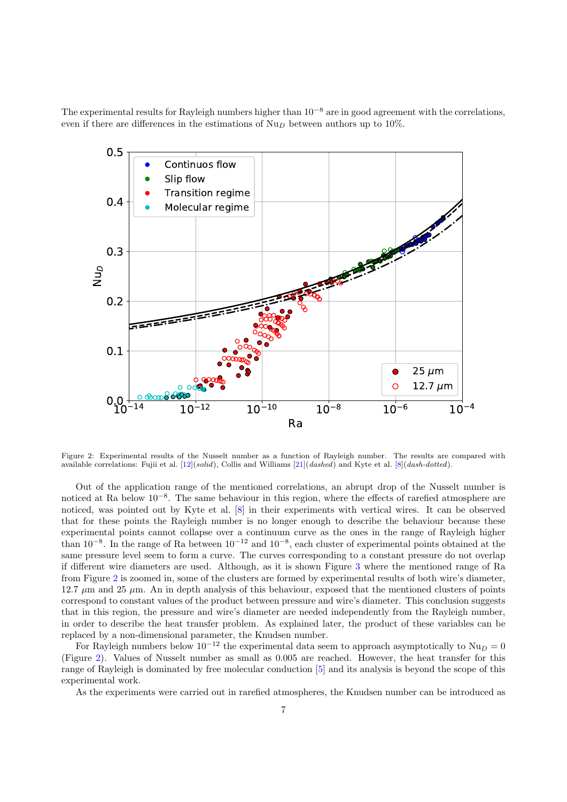The experimental results for Rayleigh numbers higher than  $10^{-8}$  are in good agreement with the correlations, even if there are differences in the estimations of  $Nu<sub>D</sub>$  between authors up to 10%.



<span id="page-6-0"></span>Figure 2: Experimental results of the Nusselt number as a function of Rayleigh number. The results are compared with available correlations: Fujii et al. [\[12\]](#page-13-7)(solid), Collis and Williams [\[21\]](#page-13-15)(dashed) and Kyte et al. [\[8\]](#page-13-6)(dash-dotted).

Out of the application range of the mentioned correlations, an abrupt drop of the Nusselt number is noticed at Ra below  $10^{-8}$ . The same behaviour in this region, where the effects of rarefied atmosphere are noticed, was pointed out by Kyte et al. [\[8\]](#page-13-6) in their experiments with vertical wires. It can be observed that for these points the Rayleigh number is no longer enough to describe the behaviour because these experimental points cannot collapse over a continuum curve as the ones in the range of Rayleigh higher than  $10^{-8}$ . In the range of Ra between  $10^{-12}$  and  $10^{-8}$ , each cluster of experimental points obtained at the same pressure level seem to form a curve. The curves corresponding to a constant pressure do not overlap if different wire diameters are used. Although, as it is shown Figure [3](#page-7-0) where the mentioned range of Ra from Figure [2](#page-6-0) is zoomed in, some of the clusters are formed by experimental results of both wire's diameter, 12.7  $\mu$ m and 25  $\mu$ m. An in depth analysis of this behaviour, exposed that the mentioned clusters of points correspond to constant values of the product between pressure and wire's diameter. This conclusion suggests that in this region, the pressure and wire's diameter are needed independently from the Rayleigh number, in order to describe the heat transfer problem. As explained later, the product of these variables can be replaced by a non-dimensional parameter, the Knudsen number.

For Rayleigh numbers below  $10^{-12}$  the experimental data seem to approach asymptotically to  $Nu_D = 0$ (Figure [2\)](#page-6-0). Values of Nusselt number as small as 0.005 are reached. However, the heat transfer for this range of Rayleigh is dominated by free molecular conduction [\[5\]](#page-13-21) and its analysis is beyond the scope of this experimental work.

As the experiments were carried out in rarefied atmospheres, the Knudsen number can be introduced as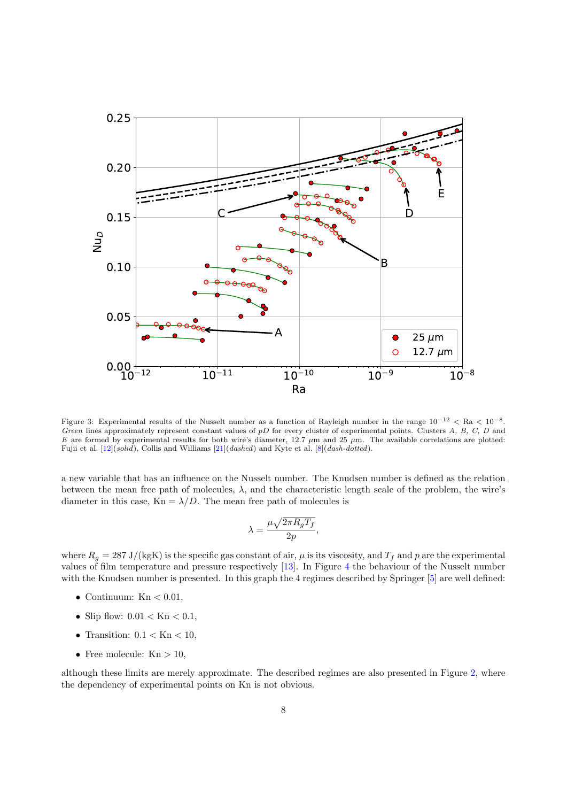

<span id="page-7-0"></span>Figure 3: Experimental results of the Nusselt number as a function of Rayleigh number in the range  $10^{-12} <$  Ra  $< 10^{-8}$ . Green lines approximately represent constant values of  $pD$  for every cluster of experimental points. Clusters A, B, C, D and E are formed by experimental results for both wire's diameter, 12.7  $\mu$ m and 25  $\mu$ m. The available correlations are plotted: Fujii et al.  $[12](solid)$  $[12](solid)$ , Collis and Williams  $[21](dashed)$  $[21](dashed)$  and Kyte et al.  $[8](dash-dotted)$ .

a new variable that has an influence on the Nusselt number. The Knudsen number is defined as the relation between the mean free path of molecules,  $\lambda$ , and the characteristic length scale of the problem, the wire's diameter in this case,  $Kn = \lambda/D$ . The mean free path of molecules is

$$
\lambda = \frac{\mu \sqrt{2\pi R_g T_f}}{2p},
$$

where  $R_g = 287 \text{ J/(kgK)}$  is the specific gas constant of air,  $\mu$  is its viscosity, and  $T_f$  and p are the experimental values of film temperature and pressure respectively [\[13\]](#page-13-8). In Figure [4](#page-8-0) the behaviour of the Nusselt number with the Knudsen number is presented. In this graph the 4 regimes described by Springer [\[5\]](#page-13-21) are well defined:

- Continuum:  $Kn < 0.01$ ,
- Slip flow:  $0.01 <$  Kn  $< 0.1$ ,
- Transition:  $0.1 <$  Kn  $< 10$ ,
- Free molecule:  $Kn > 10$ ,

although these limits are merely approximate. The described regimes are also presented in Figure [2,](#page-6-0) where the dependency of experimental points on Kn is not obvious.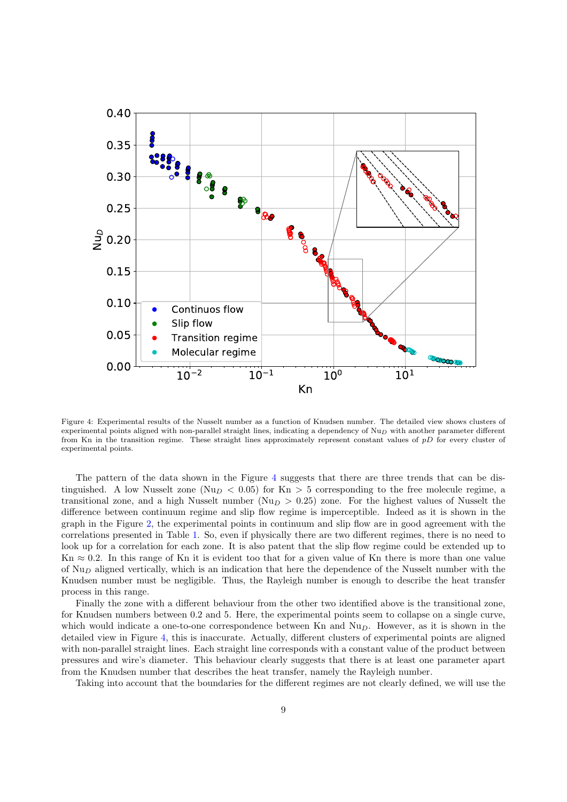

<span id="page-8-0"></span>Figure 4: Experimental results of the Nusselt number as a function of Knudsen number. The detailed view shows clusters of experimental points aligned with non-parallel straight lines, indicating a dependency of  $Nu<sub>D</sub>$  with another parameter different from Kn in the transition regime. These straight lines approximately represent constant values of pD for every cluster of experimental points.

The pattern of the data shown in the Figure [4](#page-8-0) suggests that there are three trends that can be distinguished. A low Nusselt zone ( $Nu<sub>D</sub> < 0.05$ ) for Kn > 5 corresponding to the free molecule regime, a transitional zone, and a high Nusselt number ( $Nu<sub>D</sub> > 0.25$ ) zone. For the highest values of Nusselt the difference between continuum regime and slip flow regime is imperceptible. Indeed as it is shown in the graph in the Figure [2,](#page-6-0) the experimental points in continuum and slip flow are in good agreement with the correlations presented in Table [1.](#page-4-0) So, even if physically there are two different regimes, there is no need to look up for a correlation for each zone. It is also patent that the slip flow regime could be extended up to Kn  $\approx 0.2$ . In this range of Kn it is evident too that for a given value of Kn there is more than one value of  $\text{Nu}_D$  aligned vertically, which is an indication that here the dependence of the Nusselt number with the Knudsen number must be negligible. Thus, the Rayleigh number is enough to describe the heat transfer process in this range.

Finally the zone with a different behaviour from the other two identified above is the transitional zone, for Knudsen numbers between 0.2 and 5. Here, the experimental points seem to collapse on a single curve, which would indicate a one-to-one correspondence between Kn and  $Nu<sub>D</sub>$ . However, as it is shown in the detailed view in Figure [4,](#page-8-0) this is inaccurate. Actually, different clusters of experimental points are aligned with non-parallel straight lines. Each straight line corresponds with a constant value of the product between pressures and wire's diameter. This behaviour clearly suggests that there is at least one parameter apart from the Knudsen number that describes the heat transfer, namely the Rayleigh number.

Taking into account that the boundaries for the different regimes are not clearly defined, we will use the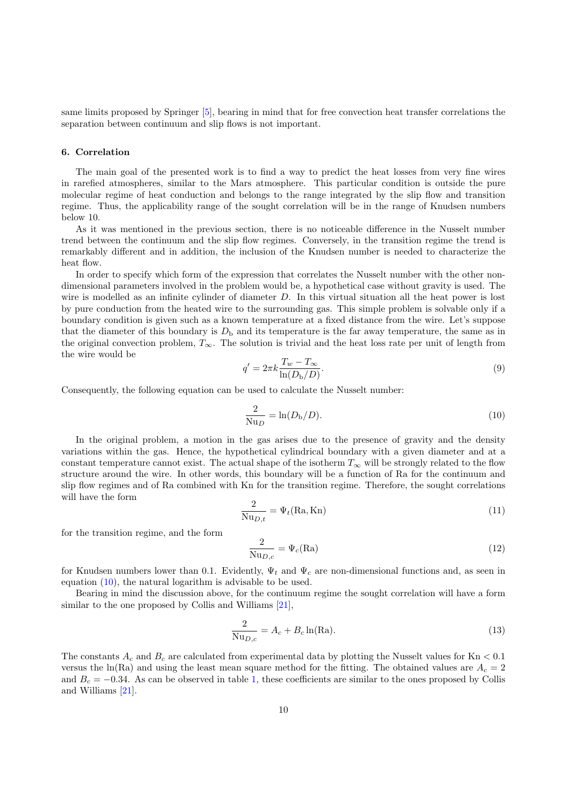same limits proposed by Springer [\[5\]](#page-13-21), bearing in mind that for free convection heat transfer correlations the separation between continuum and slip flows is not important.

## 6. Correlation

The main goal of the presented work is to find a way to predict the heat losses from very fine wires in rarefied atmospheres, similar to the Mars atmosphere. This particular condition is outside the pure molecular regime of heat conduction and belongs to the range integrated by the slip flow and transition regime. Thus, the applicability range of the sought correlation will be in the range of Knudsen numbers below 10.

As it was mentioned in the previous section, there is no noticeable difference in the Nusselt number trend between the continuum and the slip flow regimes. Conversely, in the transition regime the trend is remarkably different and in addition, the inclusion of the Knudsen number is needed to characterize the heat flow.

In order to specify which form of the expression that correlates the Nusselt number with the other nondimensional parameters involved in the problem would be, a hypothetical case without gravity is used. The wire is modelled as an infinite cylinder of diameter D. In this virtual situation all the heat power is lost by pure conduction from the heated wire to the surrounding gas. This simple problem is solvable only if a boundary condition is given such as a known temperature at a fixed distance from the wire. Let's suppose that the diameter of this boundary is  $D<sub>b</sub>$  and its temperature is the far away temperature, the same as in the original convection problem,  $T_{\infty}$ . The solution is trivial and the heat loss rate per unit of length from the wire would be

$$
q' = 2\pi k \frac{T_w - T_\infty}{\ln(D_b/D)}.
$$
\n
$$
(9)
$$

Consequently, the following equation can be used to calculate the Nusselt number:

<span id="page-9-0"></span>
$$
\frac{2}{\text{Nu}_D} = \ln(D_{\text{b}}/D). \tag{10}
$$

In the original problem, a motion in the gas arises due to the presence of gravity and the density variations within the gas. Hence, the hypothetical cylindrical boundary with a given diameter and at a constant temperature cannot exist. The actual shape of the isotherm  $T_{\infty}$  will be strongly related to the flow structure around the wire. In other words, this boundary will be a function of Ra for the continuum and slip flow regimes and of Ra combined with Kn for the transition regime. Therefore, the sought correlations will have the form

$$
\frac{2}{\text{Nu}_{D,t}} = \Psi_t(\text{Ra}, \text{Kn})\tag{11}
$$

for the transition regime, and the form

$$
\frac{2}{\text{Nu}_{D,c}} = \Psi_c(\text{Ra})\tag{12}
$$

for Knudsen numbers lower than 0.1. Evidently,  $\Psi_t$  and  $\Psi_c$  are non-dimensional functions and, as seen in equation [\(10\)](#page-9-0), the natural logarithm is advisable to be used.

Bearing in mind the discussion above, for the continuum regime the sought correlation will have a form similar to the one proposed by Collis and Williams [\[21\]](#page-13-15),

<span id="page-9-1"></span>
$$
\frac{2}{\text{Nu}_{D,c}} = A_c + B_c \ln(\text{Ra}).\tag{13}
$$

The constants  $A_c$  and  $B_c$  are calculated from experimental data by plotting the Nusselt values for Kn  $< 0.1$ versus the ln(Ra) and using the least mean square method for the fitting. The obtained values are  $A_c = 2$ and  $B_c = -0.34$ . As can be observed in table [1,](#page-4-0) these coefficients are similar to the ones proposed by Collis and Williams [\[21\]](#page-13-15).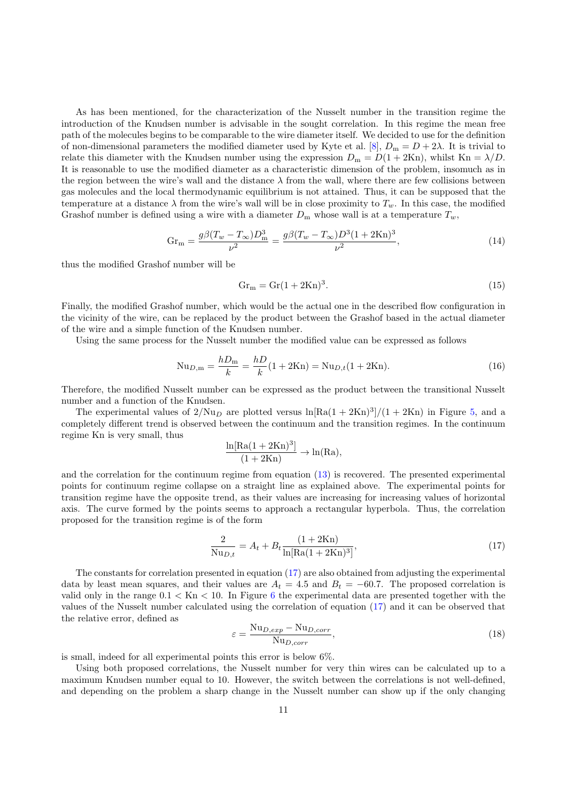As has been mentioned, for the characterization of the Nusselt number in the transition regime the introduction of the Knudsen number is advisable in the sought correlation. In this regime the mean free path of the molecules begins to be comparable to the wire diameter itself. We decided to use for the definition of non-dimensional parameters the modified diameter used by Kyte et al. [\[8\]](#page-13-6),  $D_m = D + 2\lambda$ . It is trivial to relate this diameter with the Knudsen number using the expression  $D_m = D(1 + 2Kn)$ , whilst Kn =  $\lambda/D$ . It is reasonable to use the modified diameter as a characteristic dimension of the problem, insomuch as in the region between the wire's wall and the distance  $\lambda$  from the wall, where there are few collisions between gas molecules and the local thermodynamic equilibrium is not attained. Thus, it can be supposed that the temperature at a distance  $\lambda$  from the wire's wall will be in close proximity to  $T_w$ . In this case, the modified Grashof number is defined using a wire with a diameter  $D_m$  whose wall is at a temperature  $T_w$ ,

$$
Gr_m = \frac{g\beta (T_w - T_\infty)D_m^3}{\nu^2} = \frac{g\beta (T_w - T_\infty)D^3 (1 + 2Kn)^3}{\nu^2},\tag{14}
$$

thus the modified Grashof number will be

$$
Gr_m = Gr(1 + 2Kn)^3.
$$
\n
$$
(15)
$$

Finally, the modified Grashof number, which would be the actual one in the described flow configuration in the vicinity of the wire, can be replaced by the product between the Grashof based in the actual diameter of the wire and a simple function of the Knudsen number.

Using the same process for the Nusselt number the modified value can be expressed as follows

$$
Nu_{D,m} = \frac{hD_m}{k} = \frac{hD}{k}(1 + 2Kn) = Nu_{D,t}(1 + 2Kn). \tag{16}
$$

Therefore, the modified Nusselt number can be expressed as the product between the transitional Nusselt number and a function of the Knudsen.

The experimental values of  $2/Nu_D$  are plotted versus  $\ln[Ra(1+2Kn)^3]/(1+2Kn)$  in Figure [5,](#page-11-0) and a completely different trend is observed between the continuum and the transition regimes. In the continuum regime Kn is very small, thus

$$
\frac{\ln[\mathrm{Ra}(1+2\mathrm{Kn})^3]}{(1+2\mathrm{Kn})} \to \ln(\mathrm{Ra}),
$$

and the correlation for the continuum regime from equation [\(13\)](#page-9-1) is recovered. The presented experimental points for continuum regime collapse on a straight line as explained above. The experimental points for transition regime have the opposite trend, as their values are increasing for increasing values of horizontal axis. The curve formed by the points seems to approach a rectangular hyperbola. Thus, the correlation proposed for the transition regime is of the form

<span id="page-10-0"></span>
$$
\frac{2}{\text{Nu}_{D,t}} = A_t + B_t \frac{(1 + 2\text{Kn})}{\ln[\text{Ra}(1 + 2\text{Kn})^3]},\tag{17}
$$

The constants for correlation presented in equation [\(17\)](#page-10-0) are also obtained from adjusting the experimental data by least mean squares, and their values are  $A_t = 4.5$  and  $B_t = -60.7$ . The proposed correlation is valid only in the range  $0.1 <$  Kn  $< 10$ . In Figure [6](#page-14-0) the experimental data are presented together with the values of the Nusselt number calculated using the correlation of equation [\(17\)](#page-10-0) and it can be observed that the relative error, defined as

<span id="page-10-1"></span>
$$
\varepsilon = \frac{\text{Nu}_{D,exp} - \text{Nu}_{D,corr}}{\text{Nu}_{D,corr}},\tag{18}
$$

is small, indeed for all experimental points this error is below 6%.

Using both proposed correlations, the Nusselt number for very thin wires can be calculated up to a maximum Knudsen number equal to 10. However, the switch between the correlations is not well-defined, and depending on the problem a sharp change in the Nusselt number can show up if the only changing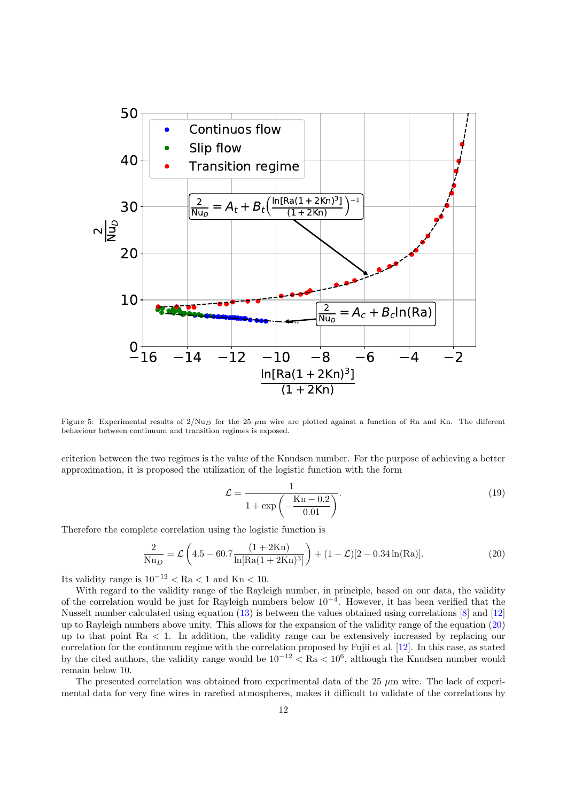

<span id="page-11-0"></span>Figure 5: Experimental results of  $2/Nu_D$  for the 25  $\mu$ m wire are plotted against a function of Ra and Kn. The different behaviour between continuum and transition regimes is exposed.

criterion between the two regimes is the value of the Knudsen number. For the purpose of achieving a better approximation, it is proposed the utilization of the logistic function with the form

<span id="page-11-1"></span>
$$
\mathcal{L} = \frac{1}{1 + \exp\left(-\frac{Kn - 0.2}{0.01}\right)}.
$$
\n(19)

Therefore the complete correlation using the logistic function is

$$
\frac{2}{\text{Nu}_D} = \mathcal{L}\left(4.5 - 60.7 \frac{(1 + 2\text{Kn})}{\ln[\text{Ra}(1 + 2\text{Kn})^3]}\right) + (1 - \mathcal{L})[2 - 0.34\ln(\text{Ra})].\tag{20}
$$

Its validity range is  $10^{-12} < \text{Ra} < 1$  and Kn  $< 10$ .

With regard to the validity range of the Rayleigh number, in principle, based on our data, the validity of the correlation would be just for Rayleigh numbers below 10<sup>−</sup><sup>4</sup> . However, it has been verified that the Nusselt number calculated using equation [\(13\)](#page-9-1) is between the values obtained using correlations [\[8\]](#page-13-6) and [\[12\]](#page-13-7) up to Rayleigh numbers above unity. This allows for the expansion of the validity range of the equation [\(20\)](#page-11-1) up to that point  $Ra < 1$ . In addition, the validity range can be extensively increased by replacing our correlation for the continuum regime with the correlation proposed by Fujii et al. [\[12\]](#page-13-7). In this case, as stated by the cited authors, the validity range would be  $10^{-12} < \text{Ra} < 10^6$ , although the Knudsen number would remain below 10.

The presented correlation was obtained from experimental data of the 25  $\mu$ m wire. The lack of experimental data for very fine wires in rarefied atmospheres, makes it difficult to validate of the correlations by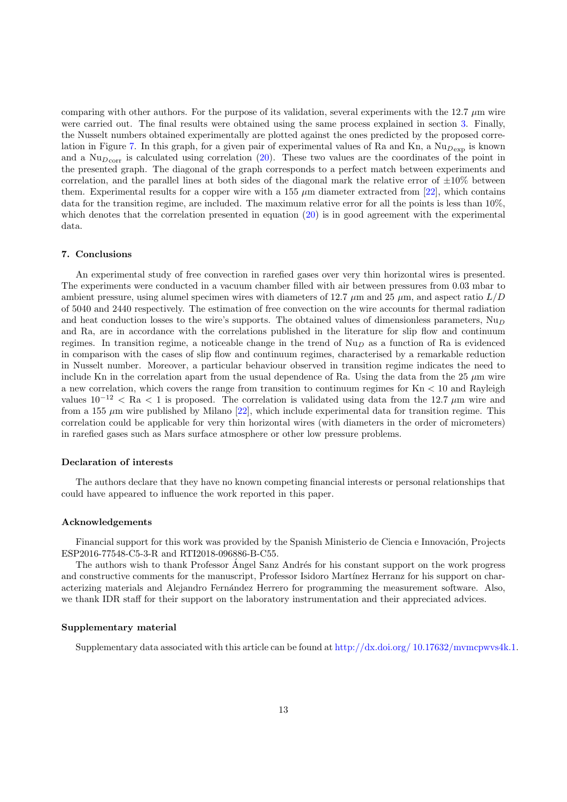comparing with other authors. For the purpose of its validation, several experiments with the 12.7  $\mu$ m wire were carried out. The final results were obtained using the same process explained in section [3.](#page-2-1) Finally, the Nusselt numbers obtained experimentally are plotted against the ones predicted by the proposed corre-lation in Figure [7.](#page-15-0) In this graph, for a given pair of experimental values of Ra and Kn, a  $Nu_{Dexp}$  is known and a  $\text{Nu}_{\text{Dcorr}}$  is calculated using correlation [\(20\)](#page-11-1). These two values are the coordinates of the point in the presented graph. The diagonal of the graph corresponds to a perfect match between experiments and correlation, and the parallel lines at both sides of the diagonal mark the relative error of  $\pm 10\%$  between them. Experimental results for a copper wire with a 155  $\mu$ m diameter extracted from [\[22\]](#page-13-17), which contains data for the transition regime, are included. The maximum relative error for all the points is less than 10%, which denotes that the correlation presented in equation  $(20)$  is in good agreement with the experimental data.

# 7. Conclusions

An experimental study of free convection in rarefied gases over very thin horizontal wires is presented. The experiments were conducted in a vacuum chamber filled with air between pressures from 0.03 mbar to ambient pressure, using alumel specimen wires with diameters of 12.7  $\mu$ m and 25  $\mu$ m, and aspect ratio  $L/D$ of 5040 and 2440 respectively. The estimation of free convection on the wire accounts for thermal radiation and heat conduction losses to the wire's supports. The obtained values of dimensionless parameters,  $Nu<sub>D</sub>$ and Ra, are in accordance with the correlations published in the literature for slip flow and continuum regimes. In transition regime, a noticeable change in the trend of  $Nu<sub>D</sub>$  as a function of Ra is evidenced in comparison with the cases of slip flow and continuum regimes, characterised by a remarkable reduction in Nusselt number. Moreover, a particular behaviour observed in transition regime indicates the need to include Kn in the correlation apart from the usual dependence of Ra. Using the data from the  $25 \mu m$  wire a new correlation, which covers the range from transition to continuum regimes for Kn < 10 and Rayleigh values  $10^{-12}$  < Ra < 1 is proposed. The correlation is validated using data from the 12.7 µm wire and from a 155  $\mu$ m wire published by Milano [\[22\]](#page-13-17), which include experimental data for transition regime. This correlation could be applicable for very thin horizontal wires (with diameters in the order of micrometers) in rarefied gases such as Mars surface atmosphere or other low pressure problems.

# Declaration of interests

The authors declare that they have no known competing financial interests or personal relationships that could have appeared to influence the work reported in this paper.

#### Acknowledgements

Financial support for this work was provided by the Spanish Ministerio de Ciencia e Innovación, Projects ESP2016-77548-C5-3-R and RTI2018-096886-B-C55.

The authors wish to thank Professor Angel Sanz Andrés for his constant support on the work progress and constructive comments for the manuscript, Professor Isidoro Martínez Herranz for his support on characterizing materials and Alejandro Fernández Herrero for programming the measurement software. Also, we thank IDR staff for their support on the laboratory instrumentation and their appreciated advices.

#### Supplementary material

Supplementary data associated with this article can be found at [http://dx.doi.org/ 10.17632/mvmcpwvs4k.1.](http://dx.doi.org/10.17632/mvmcpwvs4k.1)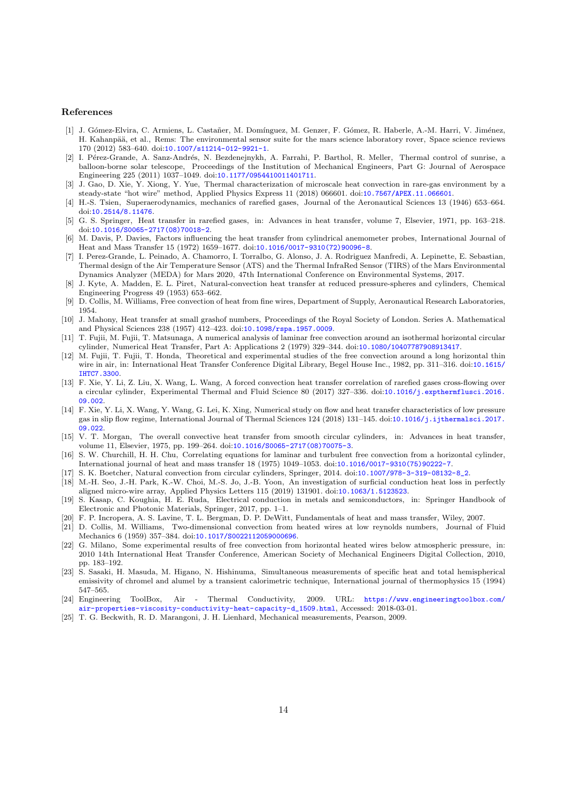## References

- <span id="page-13-0"></span>[1] J. Gómez-Elvira, C. Armiens, L. Castañer, M. Domínguez, M. Genzer, F. Gómez, R. Haberle, A.-M. Harri, V. Jiménez, H. Kahanpää, et al., Rems: The environmental sensor suite for the mars science laboratory rover, Space science reviews 170 (2012) 583–640. doi:[10.1007/s11214-012-9921-1](http://dx.doi.org/10.1007/s11214-012-9921-1).
- <span id="page-13-1"></span>[2] I. Pérez-Grande, A. Sanz-Andrés, N. Bezdenejnykh, A. Farrahi, P. Barthol, R. Meller, Thermal control of sunrise, a balloon-borne solar telescope, Proceedings of the Institution of Mechanical Engineers, Part G: Journal of Aerospace Engineering 225 (2011) 1037–1049. doi:[10.1177/0954410011401711](http://dx.doi.org/10.1177/0954410011401711).
- <span id="page-13-2"></span>[3] J. Gao, D. Xie, Y. Xiong, Y. Yue, Thermal characterization of microscale heat convection in rare-gas environment by a steady-state "hot wire" method, Applied Physics Express 11 (2018) 066601. doi:[10.7567/APEX.11.066601](http://dx.doi.org/10.7567/APEX.11.066601).
- <span id="page-13-3"></span>[4] H.-S. Tsien, Superaerodynamics, mechanics of rarefied gases, Journal of the Aeronautical Sciences 13 (1946) 653–664. doi:[10.2514/8.11476](http://dx.doi.org/10.2514/8.11476).
- <span id="page-13-21"></span>[5] G. S. Springer, Heat transfer in rarefied gases, in: Advances in heat transfer, volume 7, Elsevier, 1971, pp. 163–218. doi:[10.1016/S0065-2717\(08\)70018-2](http://dx.doi.org/10.1016/S0065-2717(08)70018-2).
- <span id="page-13-4"></span>[6] M. Davis, P. Davies, Factors influencing the heat transfer from cylindrical anemometer probes, International Journal of Heat and Mass Transfer 15 (1972) 1659–1677. doi:[10.1016/0017-9310\(72\)90096-8](http://dx.doi.org/10.1016/0017-9310(72)90096-8).
- <span id="page-13-5"></span>[7] I. Perez-Grande, L. Peinado, A. Chamorro, I. Torralbo, G. Alonso, J. A. Rodriguez Manfredi, A. Lepinette, E. Sebastian, Thermal design of the Air Temperature Sensor (ATS) and the Thermal InfraRed Sensor (TIRS) of the Mars Environmental Dynamics Analyzer (MEDA) for Mars 2020, 47th International Conference on Environmental Systems, 2017.
- <span id="page-13-6"></span>[8] J. Kyte, A. Madden, E. L. Piret, Natural-convection heat transfer at reduced pressure-spheres and cylinders, Chemical Engineering Progress 49 (1953) 653–662.
- <span id="page-13-16"></span>[9] D. Collis, M. Williams, Free convection of heat from fine wires, Department of Supply, Aeronautical Research Laboratories, 1954.
- [10] J. Mahony, Heat transfer at small grashof numbers, Proceedings of the Royal Society of London. Series A. Mathematical and Physical Sciences 238 (1957) 412–423. doi:[10.1098/rspa.1957.0009](http://dx.doi.org/10.1098/rspa.1957.0009).
- [11] T. Fujii, M. Fujii, T. Matsunaga, A numerical analysis of laminar free convection around an isothermal horizontal circular cylinder, Numerical Heat Transfer, Part A: Applications 2 (1979) 329–344. doi:[10.1080/10407787908913417](http://dx.doi.org/10.1080/10407787908913417).
- <span id="page-13-7"></span>[12] M. Fujii, T. Fujii, T. Honda, Theoretical and experimental studies of the free convection around a long horizontal thin wire in air, in: International Heat Transfer Conference Digital Library, Begel House Inc., 1982, pp. 311–316. doi:[10.1615/](http://dx.doi.org/10.1615/IHTC7.3300) [IHTC7.3300](http://dx.doi.org/10.1615/IHTC7.3300).
- <span id="page-13-8"></span>[13] F. Xie, Y. Li, Z. Liu, X. Wang, L. Wang, A forced convection heat transfer correlation of rarefied gases cross-flowing over a circular cylinder, Experimental Thermal and Fluid Science 80 (2017) 327–336. doi:[10.1016/j.expthermflusci.2016.](http://dx.doi.org/10.1016/j.expthermflusci.2016.09.002) [09.002](http://dx.doi.org/10.1016/j.expthermflusci.2016.09.002).
- <span id="page-13-9"></span>[14] F. Xie, Y. Li, X. Wang, Y. Wang, G. Lei, K. Xing, Numerical study on flow and heat transfer characteristics of low pressure gas in slip flow regime, International Journal of Thermal Sciences 124 (2018) 131–145. doi:[10.1016/j.ijthermalsci.2017.](http://dx.doi.org/10.1016/j.ijthermalsci.2017.09.022) [09.022](http://dx.doi.org/10.1016/j.ijthermalsci.2017.09.022).
- <span id="page-13-10"></span>[15] V. T. Morgan, The overall convective heat transfer from smooth circular cylinders, in: Advances in heat transfer, volume 11, Elsevier, 1975, pp. 199–264. doi:[10.1016/S0065-2717\(08\)70075-3](http://dx.doi.org/10.1016/S0065-2717(08)70075-3).
- [16] S. W. Churchill, H. H. Chu, Correlating equations for laminar and turbulent free convection from a horizontal cylinder, International journal of heat and mass transfer 18 (1975) 1049–1053. doi:[10.1016/0017-9310\(75\)90222-7](http://dx.doi.org/10.1016/0017-9310(75)90222-7).
- <span id="page-13-11"></span>[17] S. K. Boetcher, Natural convection from circular cylinders, Springer, 2014. doi:[10.1007/978-3-319-08132-8\\_2](http://dx.doi.org/10.1007/978-3-319-08132-8_2).
- <span id="page-13-12"></span>[18] M.-H. Seo, J.-H. Park, K.-W. Choi, M.-S. Jo, J.-B. Yoon, An investigation of surficial conduction heat loss in perfectly aligned micro-wire array, Applied Physics Letters 115 (2019) 131901. doi:[10.1063/1.5123523](http://dx.doi.org/10.1063/1.5123523).
- <span id="page-13-13"></span>[19] S. Kasap, C. Koughia, H. E. Ruda, Electrical conduction in metals and semiconductors, in: Springer Handbook of Electronic and Photonic Materials, Springer, 2017, pp. 1–1.
- <span id="page-13-14"></span>[20] F. P. Incropera, A. S. Lavine, T. L. Bergman, D. P. DeWitt, Fundamentals of heat and mass transfer, Wiley, 2007.
- <span id="page-13-15"></span>[21] D. Collis, M. Williams, Two-dimensional convection from heated wires at low reynolds numbers, Journal of Fluid Mechanics 6 (1959) 357–384. doi:[10.1017/S0022112059000696](http://dx.doi.org/10.1017/S0022112059000696).
- <span id="page-13-17"></span>[22] G. Milano, Some experimental results of free convection from horizontal heated wires below atmospheric pressure, in: 2010 14th International Heat Transfer Conference, American Society of Mechanical Engineers Digital Collection, 2010, pp. 183–192.
- <span id="page-13-18"></span>[23] S. Sasaki, H. Masuda, M. Higano, N. Hishinuma, Simultaneous measurements of specific heat and total hemispherical emissivity of chromel and alumel by a transient calorimetric technique, International journal of thermophysics 15 (1994) 547–565.
- <span id="page-13-19"></span>[24] Engineering ToolBox, Air - Thermal Conductivity, 2009. URL: [https://www.engineeringtoolbox.com/](https://www.engineeringtoolbox.com/air-properties-viscosity-conductivity-heat-capacity-d_1509.html) [air-properties-viscosity-conductivity-heat-capacity-d\\_1509.html](https://www.engineeringtoolbox.com/air-properties-viscosity-conductivity-heat-capacity-d_1509.html), Accessed: 2018-03-01.
- <span id="page-13-20"></span>[25] T. G. Beckwith, R. D. Marangoni, J. H. Lienhard, Mechanical measurements, Pearson, 2009.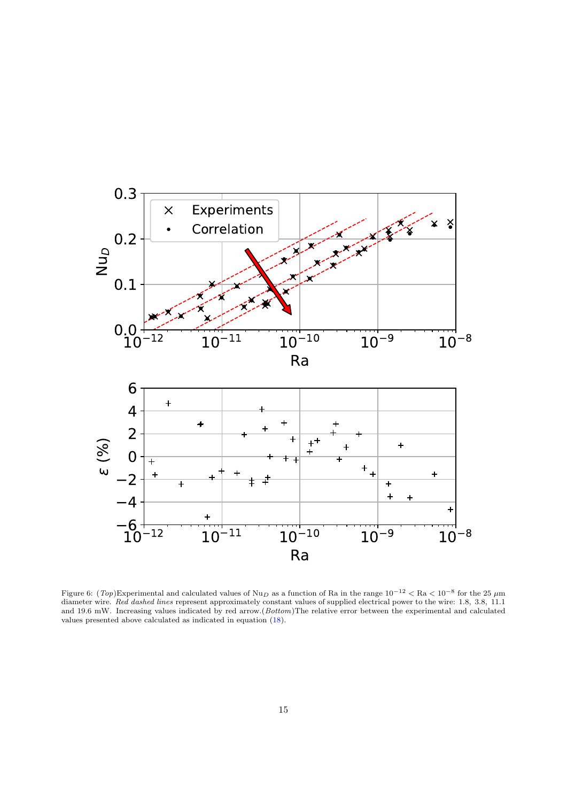

<span id="page-14-0"></span>Figure 6:  $(Top)$ Experimental and calculated values of Nu<sub>D</sub> as a function of Ra in the range  $10^{-12} <$  Ra  $< 10^{-8}$  for the 25  $\mu$ m diameter wire. Red dashed lines represent approximately constant values of supplied electrical power to the wire: 1.8, 3.8, 11.1 and 19.6 mW. Increasing values indicated by red arrow.(Bottom)The relative error between the experimental and calculated values presented above calculated as indicated in equation [\(18\)](#page-10-1).